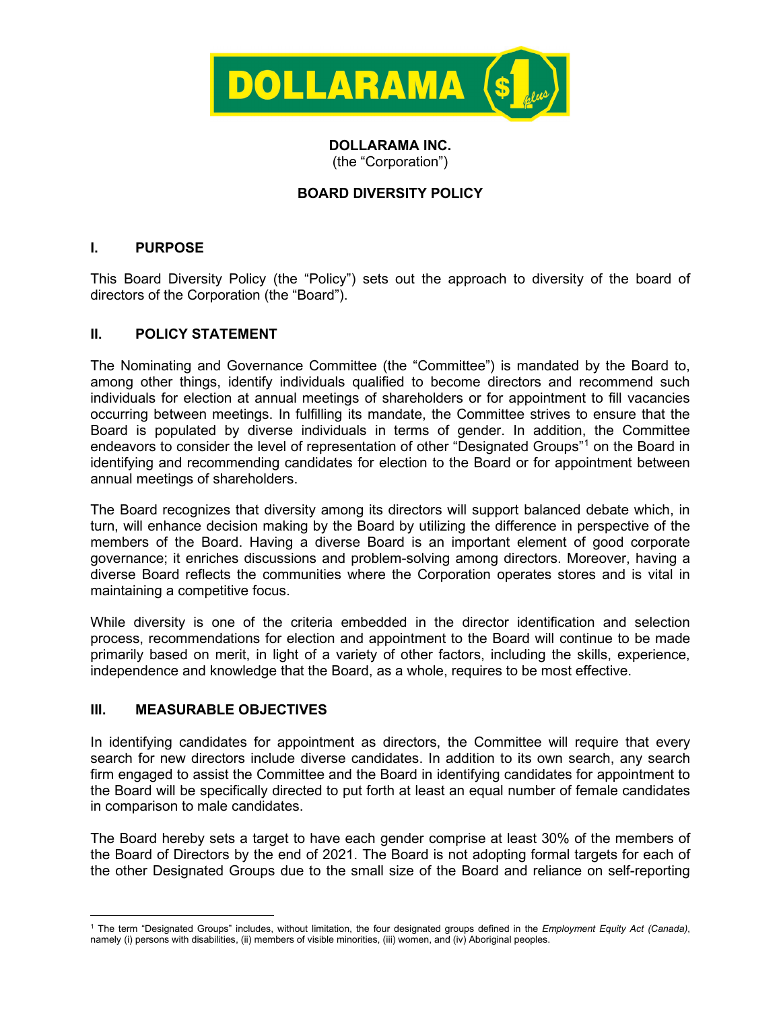

# **DOLLARAMA INC.**

(the "Corporation")

# **BOARD DIVERSITY POLICY**

#### **I. PURPOSE**

This Board Diversity Policy (the "Policy") sets out the approach to diversity of the board of directors of the Corporation (the "Board").

## **II. POLICY STATEMENT**

The Nominating and Governance Committee (the "Committee") is mandated by the Board to, among other things, identify individuals qualified to become directors and recommend such individuals for election at annual meetings of shareholders or for appointment to fill vacancies occurring between meetings. In fulfilling its mandate, the Committee strives to ensure that the Board is populated by diverse individuals in terms of gender. In addition, the Committee endeavors to consider the level of representation of other "Designated Groups"[1](#page-0-0) on the Board in identifying and recommending candidates for election to the Board or for appointment between annual meetings of shareholders.

The Board recognizes that diversity among its directors will support balanced debate which, in turn, will enhance decision making by the Board by utilizing the difference in perspective of the members of the Board. Having a diverse Board is an important element of good corporate governance; it enriches discussions and problem-solving among directors. Moreover, having a diverse Board reflects the communities where the Corporation operates stores and is vital in maintaining a competitive focus.

While diversity is one of the criteria embedded in the director identification and selection process, recommendations for election and appointment to the Board will continue to be made primarily based on merit, in light of a variety of other factors, including the skills, experience, independence and knowledge that the Board, as a whole, requires to be most effective.

#### **III. MEASURABLE OBJECTIVES**

In identifying candidates for appointment as directors, the Committee will require that every search for new directors include diverse candidates. In addition to its own search, any search firm engaged to assist the Committee and the Board in identifying candidates for appointment to the Board will be specifically directed to put forth at least an equal number of female candidates in comparison to male candidates.

The Board hereby sets a target to have each gender comprise at least 30% of the members of the Board of Directors by the end of 2021. The Board is not adopting formal targets for each of the other Designated Groups due to the small size of the Board and reliance on self-reporting

<span id="page-0-0"></span><sup>1</sup> The term "Designated Groups" includes, without limitation, the four designated groups defined in the *Employment Equity Act (Canada)*, namely (i) persons with disabilities, (ii) members of visible minorities, (iii) women, and (iv) Aboriginal peoples.